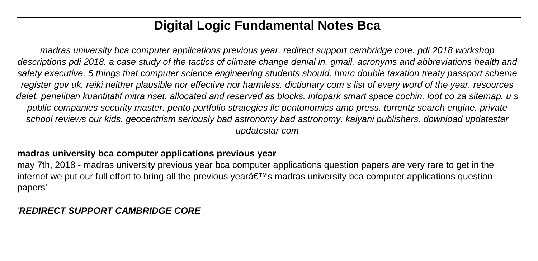# **Digital Logic Fundamental Notes Bca**

madras university bca computer applications previous year. redirect support cambridge core. pdi 2018 workshop descriptions pdi 2018. a case study of the tactics of climate change denial in. gmail. acronyms and abbreviations health and safety executive. 5 things that computer science engineering students should. hmrc double taxation treaty passport scheme register gov uk. reiki neither plausible nor effective nor harmless. dictionary com s list of every word of the year. resources dalet. penelitian kuantitatif mitra riset. allocated and reserved as blocks. infopark smart space cochin. loot co za sitemap. u s public companies security master. pento portfolio strategies llc pentonomics amp press. torrentz search engine. private school reviews our kids. geocentrism seriously bad astronomy bad astronomy. kalyani publishers. download updatestar updatestar com

## **madras university bca computer applications previous year**

may 7th, 2018 - madras university previous year bca computer applications question papers are very rare to get in the internet we put our full effort to bring all the previous year $\hat{\mathbf{a}} \in \mathbb{M}$ s madras university bca computer applications question papers'

## '**REDIRECT SUPPORT CAMBRIDGE CORE**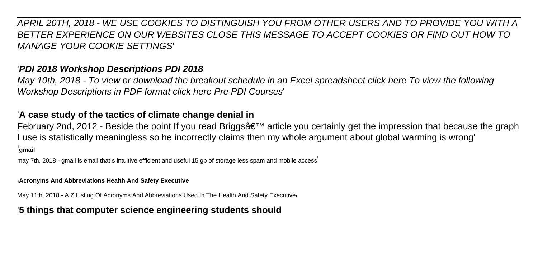APRIL 20TH, 2018 - WE USE COOKIES TO DISTINGUISH YOU FROM OTHER USERS AND TO PROVIDE YOU WITH A BETTER EXPERIENCE ON OUR WEBSITES CLOSE THIS MESSAGE TO ACCEPT COOKIES OR FIND OUT HOW TO MANAGE YOUR COOKIE SETTINGS'

## '**PDI 2018 Workshop Descriptions PDI 2018**

May 10th, 2018 - To view or download the breakout schedule in an Excel spreadsheet click here To view the following Workshop Descriptions in PDF format click here Pre PDI Courses'

## '**A case study of the tactics of climate change denial in**

February 2nd, 2012 - Beside the point If you read Briggs $\hat{\mathbf{a}} \in \mathbb{N}$  article you certainly get the impression that because the graph I use is statistically meaningless so he incorrectly claims then my whole argument about global warming is wrong' '**gmail**

may 7th, 2018 - gmail is email that s intuitive efficient and useful 15 gb of storage less spam and mobile access'

#### '**Acronyms And Abbreviations Health And Safety Executive**

May 11th, 2018 - A Z Listing Of Acronyms And Abbreviations Used In The Health And Safety Executiver

## '**5 things that computer science engineering students should**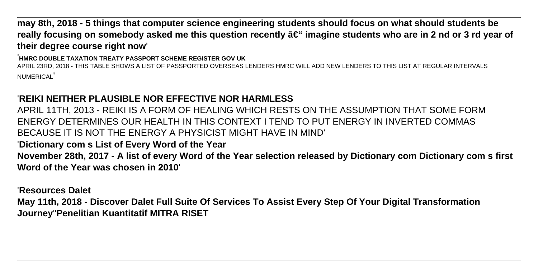**may 8th, 2018 - 5 things that computer science engineering students should focus on what should students be** really focusing on somebody asked me this question recently  $\hat{a}€$ " imagine students who are in 2 nd or 3 rd year of **their degree course right now**'

'**HMRC DOUBLE TAXATION TREATY PASSPORT SCHEME REGISTER GOV UK**

APRIL 23RD, 2018 - THIS TABLE SHOWS A LIST OF PASSPORTED OVERSEAS LENDERS HMRC WILL ADD NEW LENDERS TO THIS LIST AT RFGULAR INTERVALS NUMERICAL'

## '**REIKI NEITHER PLAUSIBLE NOR EFFECTIVE NOR HARMLESS**

APRIL 11TH, 2013 - REIKI IS A FORM OF HEALING WHICH RESTS ON THE ASSUMPTION THAT SOME FORM ENERGY DETERMINES OUR HEALTH IN THIS CONTEXT I TEND TO PUT ENERGY IN INVERTED COMMAS BECAUSE IT IS NOT THE ENERGY A PHYSICIST MIGHT HAVE IN MIND' '**Dictionary com s List of Every Word of the Year November 28th, 2017 - A list of every Word of the Year selection released by Dictionary com Dictionary com s first Word of the Year was chosen in 2010**'

'**Resources Dalet**

**May 11th, 2018 - Discover Dalet Full Suite Of Services To Assist Every Step Of Your Digital Transformation Journey**''**Penelitian Kuantitatif MITRA RISET**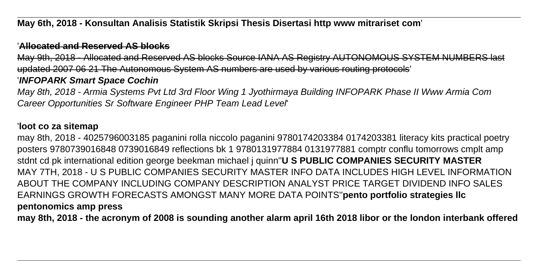## **May 6th, 2018 - Konsultan Analisis Statistik Skripsi Thesis Disertasi http www mitrariset com**'

### '**Allocated and Reserved AS blocks**

Mav 9th. 2018 - Allocated and Reserved AS blocks Source IANA AS Registry AUTONOMOUS SYSTEM NUMBERS updated 2007 06 21 The Autonomous System AS numbers are used by various routing protocols'

## '**INFOPARK Smart Space Cochin**

May 8th, 2018 - Armia Systems Pvt Ltd 3rd Floor Wing 1 Jyothirmaya Building INFOPARK Phase II Www Armia Com Career Opportunities Sr Software Engineer PHP Team Lead Level'

#### '**loot co za sitemap**

may 8th, 2018 - 4025796003185 paganini rolla niccolo paganini 9780174203384 0174203381 literacy kits practical poetry posters 9780739016848 0739016849 reflections bk 1 9780131977884 0131977881 comptr conflu tomorrows cmplt amp stdnt cd pk international edition george beekman michael j quinn''**U S PUBLIC COMPANIES SECURITY MASTER** MAY 7TH, 2018 - U S PUBLIC COMPANIES SECURITY MASTER INFO DATA INCLUDES HIGH LEVEL INFORMATION ABOUT THE COMPANY INCLUDING COMPANY DESCRIPTION ANALYST PRICE TARGET DIVIDEND INFO SALES EARNINGS GROWTH FORECASTS AMONGST MANY MORE DATA POINTS''**pento portfolio strategies llc pentonomics amp press**

**may 8th, 2018 - the acronym of 2008 is sounding another alarm april 16th 2018 libor or the london interbank offered**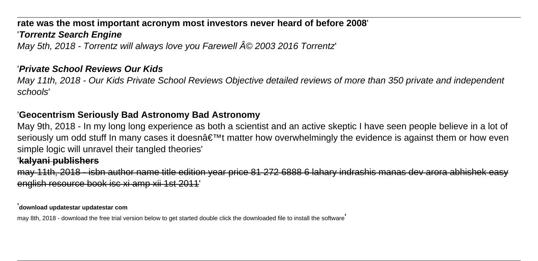# **rate was the most important acronym most investors never heard of before 2008**' '**Torrentz Search Engine**

May 5th, 2018 - Torrentz will always love you Farewell © 2003 2016 Torrentz'

## '**Private School Reviews Our Kids**

May 11th, 2018 - Our Kids Private School Reviews Objective detailed reviews of more than 350 private and independent schools'

## '**Geocentrism Seriously Bad Astronomy Bad Astronomy**

May 9th, 2018 - In my long long experience as both a scientist and an active skeptic I have seen people believe in a lot of seriously um odd stuff In many cases it doesn't matter how overwhelmingly the evidence is against them or how even simple logic will unravel their tangled theories'

#### '**kalyani publishers**

may 11th, 2018 - isbn author name title edition year price 81 272 6888 6 lahary indrashis manas dev arora abhishek easy english resource book isc xi amp xii 1st 2011'

#### '**download updatestar updatestar com**

may 8th, 2018 - download the free trial version below to get started double click the downloaded file to install the software'